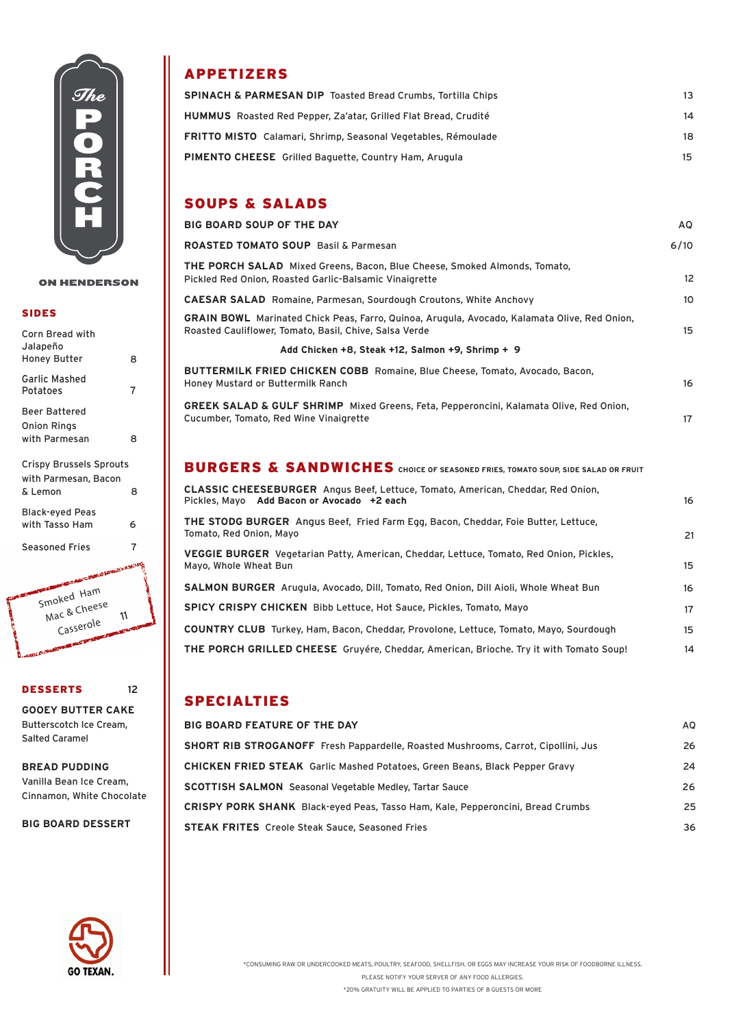

### **ON HENDERSON**

### SIDES

| <b>Corn Bread with</b><br>Jalapeño                                |   |
|-------------------------------------------------------------------|---|
| Honey Butter                                                      | 8 |
| <b>Garlic Mashed</b><br>Potatoes                                  | 7 |
| Beer Battered                                                     |   |
| Onion Rings                                                       |   |
| with Parmesan                                                     | R |
| <b>Crispy Brussels Sprouts</b><br>with Parmesan, Bacon<br>& Lemon | 8 |
| Black-eyed Peas<br>with Tasso Ham                                 | 6 |
| <b>Seasoned Fries</b>                                             |   |
| OUR PROPERTY AND TO PERTY PATRICIPY CAN A                         |   |



### DESSERTS 12

**GOOEY BUTTER CAKE** Butterscotch Ice Cream, Salted Caramel

### **BREAD PUDDING**

Vanilla Bean Ice Cream, Cinnamon, White Chocolate

### **BIG BOARD DESSERT**



# APPETIZERS

| <b>SPINACH &amp; PARMESAN DIP Toasted Bread Crumbs, Tortilla Chips</b> | 13. |
|------------------------------------------------------------------------|-----|
| <b>HUMMUS</b> Roasted Red Pepper, Za'atar, Grilled Flat Bread, Crudité | 14  |
| <b>FRITTO MISTO</b> Calamari, Shrimp, Seasonal Vegetables, Rémoulade   | 18. |
| <b>PIMENTO CHEESE</b> Grilled Baguette, Country Ham, Arugula           |     |

### SOUPS & SALADS

| <b>BIG BOARD SOUP OF THE DAY</b>                                                                                                                       | AQ.               |  |
|--------------------------------------------------------------------------------------------------------------------------------------------------------|-------------------|--|
| <b>ROASTED TOMATO SOUP Basil &amp; Parmesan</b>                                                                                                        | 6/10              |  |
| THE PORCH SALAD Mixed Greens, Bacon, Blue Cheese, Smoked Almonds, Tomato,<br>Pickled Red Onion, Roasted Garlic-Balsamic Vinaigrette                    | $12 \overline{ }$ |  |
| <b>CAESAR SALAD</b> Romaine, Parmesan, Sourdough Croutons, White Anchovy                                                                               | 10                |  |
| GRAIN BOWL Marinated Chick Peas, Farro, Quinoa, Arugula, Avocado, Kalamata Olive, Red Onion,<br>Roasted Cauliflower, Tomato, Basil, Chive, Salsa Verde | 15                |  |
| Add Chicken +8, Steak +12, Salmon +9, Shrimp + 9                                                                                                       |                   |  |
| <b>BUTTERMILK FRIED CHICKEN COBB</b> Romaine, Blue Cheese, Tomato, Avocado, Bacon,<br>Honey Mustard or Buttermilk Ranch                                | 16                |  |
| <b>GREEK SALAD &amp; GULF SHRIMP</b> Mixed Greens, Feta, Pepperoncini, Kalamata Olive, Red Onion,<br>Cucumber, Tomato, Red Wine Vinaigrette            | 17                |  |
| BURGERS & SANDWICHES CHOICE OF SEASONED FRIES, TOMATO SOUP, SIDE SALAD OR FRUIT                                                                        |                   |  |
| CLASSIC CHEESEBURGER Angus Beef, Lettuce, Tomato, American, Cheddar, Red Onion,<br>Pickles, Mayo Add Bacon or Avocado +2 each                          | 16                |  |
| THE STODG BURGER Angus Beef, Fried Farm Egg, Bacon, Cheddar, Foie Butter, Lettuce,<br>Tomato, Red Onion, Mayo                                          | 21                |  |
| VEGGIE BURGER Vegetarian Patty, American, Cheddar, Lettuce, Tomato, Red Onion, Pickles,<br>Mayo, Whole Wheat Bun                                       | 15                |  |
| SALMON BURGER Arugula, Avocado, Dill, Tomato, Red Onion, Dill Aioli, Whole Wheat Bun                                                                   | 16                |  |

**SPICY CRISPY CHICKEN** Bibb Lettuce, Hot Sauce, Pickles, Tomato, Mayo 17 (1992) 1994 (1994) 1994 (1995) 1994 (1995) 1994 (1995) 1994 (1995) 1994 (1995) 1994 (1995) 1994 (1995) 199<br>1995 (1995) 1995 (1995) 1995 (1995) 1995 (1995) 1995 (1995) 1995 (1995) 1995 (1995) 1995 (1995) 1995 (1995) 1

**COUNTRY CLUB** Turkey, Ham, Bacon, Cheddar, Provolone, Lettuce, Tomato, Mayo, Sourdough 15

**THE PORCH GRILLED CHEESE** Gruyére, Cheddar, American, Brioche. Try it with Tomato Soup! 14

## SPECIALTIES

# **BIG BOARD FEATURE OF THE DAY** AQUAL ASSESSMENT AND THE RESERVE ASSESSMENT AND A RESERVE ASSESSMENT AND A RESERVE ASSESSMENT AND A RESERVE ASSESSMENT ASSESSMENT ASSESSMENT AND A RESERVE ASSESSMENT ASSESSMENT ASSESSMENT ASS **SHORT RIB STROGANOFF** Fresh Pappardelle, Roasted Mushrooms, Carrot, Cipollini, Jus 26 **CHICKEN FRIED STEAK** Garlic Mashed Potatoes, Green Beans, Black Pepper Gravy 24 **SCOTTISH SALMON** Seasonal Vegetable Medley, Tartar Sauce 26 **CRISPY PORK SHANK** Black-eyed Peas, Tasso Ham, Kale, Pepperoncini, Bread Crumbs 25 **STEAK FRITES** Creole Steak Sauce, Seasoned Fries 36

\*20% GRATUITY WILL BE APPLIED TO PARTIES OF 8 GUESTS OR MORE